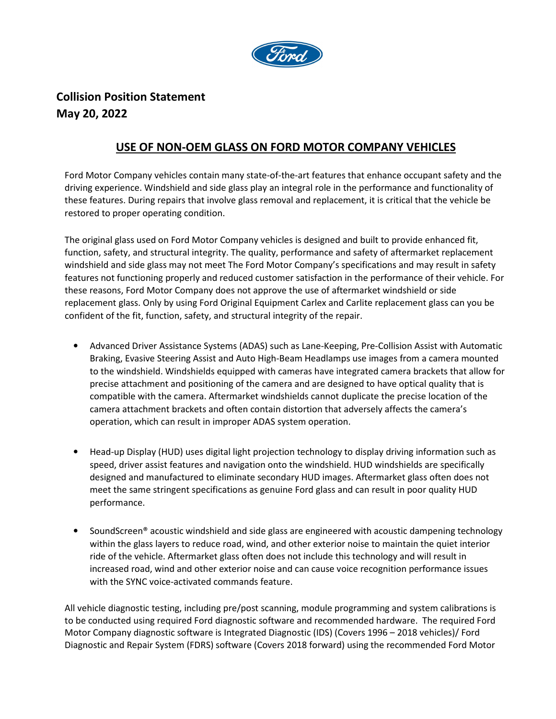

## **Collision Position Statement May 20, 2022**

## **USE OF NON-OEM GLASS ON FORD MOTOR COMPANY VEHICLES**

Ford Motor Company vehicles contain many state-of-the-art features that enhance occupant safety and the driving experience. Windshield and side glass play an integral role in the performance and functionality of these features. During repairs that involve glass removal and replacement, it is critical that the vehicle be restored to proper operating condition.

The original glass used on Ford Motor Company vehicles is designed and built to provide enhanced fit, function, safety, and structural integrity. The quality, performance and safety of aftermarket replacement windshield and side glass may not meet The Ford Motor Company's specifications and may result in safety features not functioning properly and reduced customer satisfaction in the performance of their vehicle. For these reasons, Ford Motor Company does not approve the use of aftermarket windshield or side replacement glass. Only by using Ford Original Equipment Carlex and Carlite replacement glass can you be confident of the fit, function, safety, and structural integrity of the repair.

- Advanced Driver Assistance Systems (ADAS) such as Lane-Keeping, Pre-Collision Assist with Automatic Braking, Evasive Steering Assist and Auto High-Beam Headlamps use images from a camera mounted to the windshield. Windshields equipped with cameras have integrated camera brackets that allow for precise attachment and positioning of the camera and are designed to have optical quality that is compatible with the camera. Aftermarket windshields cannot duplicate the precise location of the camera attachment brackets and often contain distortion that adversely affects the camera's operation, which can result in improper ADAS system operation.
- Head-up Display (HUD) uses digital light projection technology to display driving information such as speed, driver assist features and navigation onto the windshield. HUD windshields are specifically designed and manufactured to eliminate secondary HUD images. Aftermarket glass often does not meet the same stringent specifications as genuine Ford glass and can result in poor quality HUD performance.
- SoundScreen® acoustic windshield and side glass are engineered with acoustic dampening technology within the glass layers to reduce road, wind, and other exterior noise to maintain the quiet interior ride of the vehicle. Aftermarket glass often does not include this technology and will result in increased road, wind and other exterior noise and can cause voice recognition performance issues with the SYNC voice-activated commands feature.

All vehicle diagnostic testing, including pre/post scanning, module programming and system calibrations is to be conducted using required Ford diagnostic software and recommended hardware. The required Ford Motor Company diagnostic software is Integrated Diagnostic (IDS) (Covers 1996 – 2018 vehicles)/ Ford Diagnostic and Repair System (FDRS) software (Covers 2018 forward) using the recommended Ford Motor